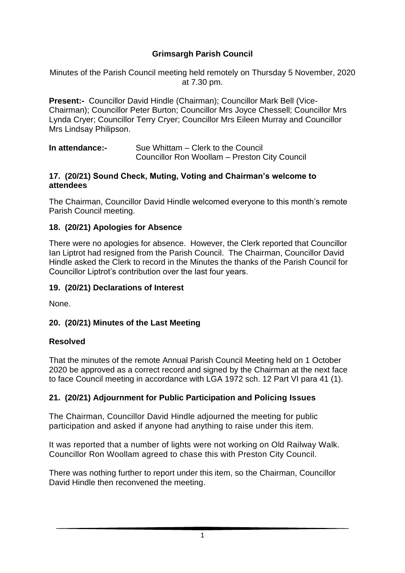## **Grimsargh Parish Council**

Minutes of the Parish Council meeting held remotely on Thursday 5 November, 2020 at 7.30 pm.

**Present:-** Councillor David Hindle (Chairman); Councillor Mark Bell (Vice-Chairman); Councillor Peter Burton; Councillor Mrs Joyce Chessell; Councillor Mrs Lynda Cryer; Councillor Terry Cryer; Councillor Mrs Eileen Murray and Councillor Mrs Lindsay Philipson.

| In attendance:- | Sue Whittam – Clerk to the Council            |
|-----------------|-----------------------------------------------|
|                 | Councillor Ron Woollam - Preston City Council |

#### **17. (20/21) Sound Check, Muting, Voting and Chairman's welcome to attendees**

The Chairman, Councillor David Hindle welcomed everyone to this month's remote Parish Council meeting.

#### **18. (20/21) Apologies for Absence**

There were no apologies for absence. However, the Clerk reported that Councillor Ian Liptrot had resigned from the Parish Council. The Chairman, Councillor David Hindle asked the Clerk to record in the Minutes the thanks of the Parish Council for Councillor Liptrot's contribution over the last four years.

#### **19. (20/21) Declarations of Interest**

None.

#### **20. (20/21) Minutes of the Last Meeting**

#### **Resolved**

That the minutes of the remote Annual Parish Council Meeting held on 1 October 2020 be approved as a correct record and signed by the Chairman at the next face to face Council meeting in accordance with LGA 1972 sch. 12 Part VI para 41 (1).

#### **21. (20/21) Adjournment for Public Participation and Policing Issues**

The Chairman, Councillor David Hindle adjourned the meeting for public participation and asked if anyone had anything to raise under this item.

It was reported that a number of lights were not working on Old Railway Walk. Councillor Ron Woollam agreed to chase this with Preston City Council.

There was nothing further to report under this item, so the Chairman, Councillor David Hindle then reconvened the meeting.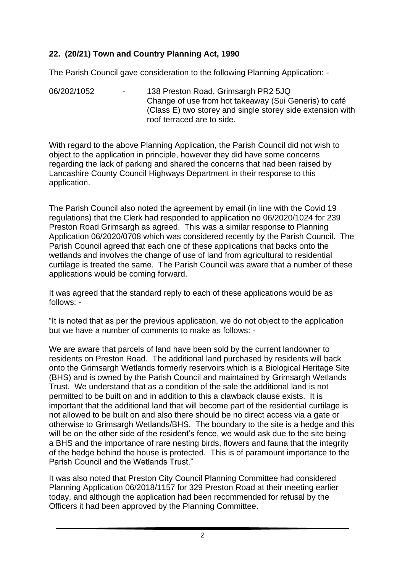## **22. (20/21) Town and Country Planning Act, 1990**

The Parish Council gave consideration to the following Planning Application: -

06/202/1052 - 138 Preston Road, Grimsargh PR2 5JQ Change of use from hot takeaway (Sui Generis) to café (Class E) two storey and single storey side extension with roof terraced are to side.

With regard to the above Planning Application, the Parish Council did not wish to object to the application in principle, however they did have some concerns regarding the lack of parking and shared the concerns that had been raised by Lancashire County Council Highways Department in their response to this application.

The Parish Council also noted the agreement by email (in line with the Covid 19 regulations) that the Clerk had responded to application no 06/2020/1024 for 239 Preston Road Grimsargh as agreed. This was a similar response to Planning Application 06/2020/0708 which was considered recently by the Parish Council. The Parish Council agreed that each one of these applications that backs onto the wetlands and involves the change of use of land from agricultural to residential curtilage is treated the same. The Parish Council was aware that a number of these applications would be coming forward.

It was agreed that the standard reply to each of these applications would be as follows: -

"It is noted that as per the previous application, we do not object to the application but we have a number of comments to make as follows: -

We are aware that parcels of land have been sold by the current landowner to residents on Preston Road. The additional land purchased by residents will back onto the Grimsargh Wetlands formerly reservoirs which is a Biological Heritage Site (BHS) and is owned by the Parish Council and maintained by Grimsargh Wetlands Trust. We understand that as a condition of the sale the additional land is not permitted to be built on and in addition to this a clawback clause exists. It is important that the additional land that will become part of the residential curtilage is not allowed to be built on and also there should be no direct access via a gate or otherwise to Grimsargh Wetlands/BHS. The boundary to the site is a hedge and this will be on the other side of the resident's fence, we would ask due to the site being a BHS and the importance of rare nesting birds, flowers and fauna that the integrity of the hedge behind the house is protected. This is of paramount importance to the Parish Council and the Wetlands Trust."

It was also noted that Preston City Council Planning Committee had considered Planning Application 06/2018/1157 for 329 Preston Road at their meeting earlier today, and although the application had been recommended for refusal by the Officers it had been approved by the Planning Committee.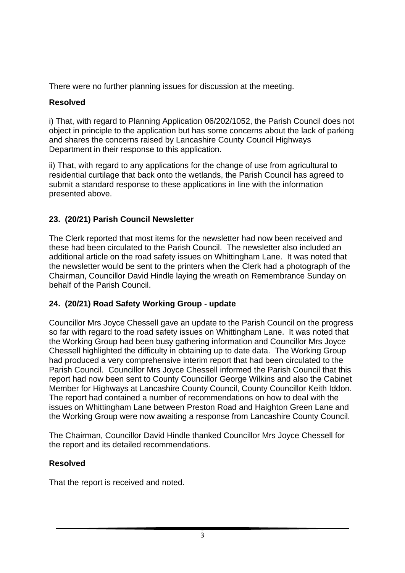There were no further planning issues for discussion at the meeting.

## **Resolved**

i) That, with regard to Planning Application 06/202/1052, the Parish Council does not object in principle to the application but has some concerns about the lack of parking and shares the concerns raised by Lancashire County Council Highways Department in their response to this application.

ii) That, with regard to any applications for the change of use from agricultural to residential curtilage that back onto the wetlands, the Parish Council has agreed to submit a standard response to these applications in line with the information presented above.

## **23. (20/21) Parish Council Newsletter**

The Clerk reported that most items for the newsletter had now been received and these had been circulated to the Parish Council. The newsletter also included an additional article on the road safety issues on Whittingham Lane. It was noted that the newsletter would be sent to the printers when the Clerk had a photograph of the Chairman, Councillor David Hindle laying the wreath on Remembrance Sunday on behalf of the Parish Council.

## **24. (20/21) Road Safety Working Group - update**

Councillor Mrs Joyce Chessell gave an update to the Parish Council on the progress so far with regard to the road safety issues on Whittingham Lane. It was noted that the Working Group had been busy gathering information and Councillor Mrs Joyce Chessell highlighted the difficulty in obtaining up to date data. The Working Group had produced a very comprehensive interim report that had been circulated to the Parish Council. Councillor Mrs Joyce Chessell informed the Parish Council that this report had now been sent to County Councillor George Wilkins and also the Cabinet Member for Highways at Lancashire County Council, County Councillor Keith Iddon. The report had contained a number of recommendations on how to deal with the issues on Whittingham Lane between Preston Road and Haighton Green Lane and the Working Group were now awaiting a response from Lancashire County Council.

The Chairman, Councillor David Hindle thanked Councillor Mrs Joyce Chessell for the report and its detailed recommendations.

## **Resolved**

That the report is received and noted.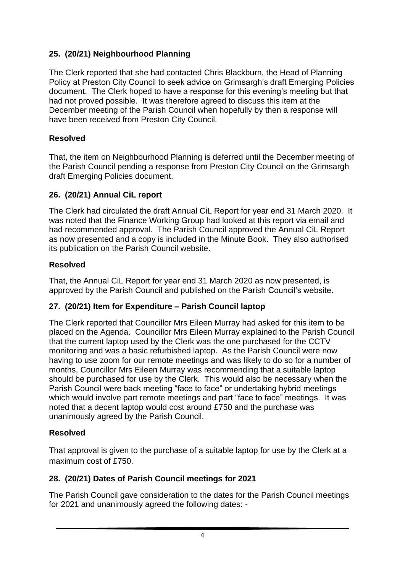## **25. (20/21) Neighbourhood Planning**

The Clerk reported that she had contacted Chris Blackburn, the Head of Planning Policy at Preston City Council to seek advice on Grimsargh's draft Emerging Policies document. The Clerk hoped to have a response for this evening's meeting but that had not proved possible. It was therefore agreed to discuss this item at the December meeting of the Parish Council when hopefully by then a response will have been received from Preston City Council.

## **Resolved**

That, the item on Neighbourhood Planning is deferred until the December meeting of the Parish Council pending a response from Preston City Council on the Grimsargh draft Emerging Policies document.

## **26. (20/21) Annual CiL report**

The Clerk had circulated the draft Annual CiL Report for year end 31 March 2020. It was noted that the Finance Working Group had looked at this report via email and had recommended approval. The Parish Council approved the Annual CiL Report as now presented and a copy is included in the Minute Book. They also authorised its publication on the Parish Council website.

## **Resolved**

That, the Annual CiL Report for year end 31 March 2020 as now presented, is approved by the Parish Council and published on the Parish Council's website.

## **27. (20/21) Item for Expenditure – Parish Council laptop**

The Clerk reported that Councillor Mrs Eileen Murray had asked for this item to be placed on the Agenda. Councillor Mrs Eileen Murray explained to the Parish Council that the current laptop used by the Clerk was the one purchased for the CCTV monitoring and was a basic refurbished laptop. As the Parish Council were now having to use zoom for our remote meetings and was likely to do so for a number of months, Councillor Mrs Eileen Murray was recommending that a suitable laptop should be purchased for use by the Clerk. This would also be necessary when the Parish Council were back meeting "face to face" or undertaking hybrid meetings which would involve part remote meetings and part "face to face" meetings. It was noted that a decent laptop would cost around £750 and the purchase was unanimously agreed by the Parish Council.

## **Resolved**

That approval is given to the purchase of a suitable laptop for use by the Clerk at a maximum cost of £750

# **28. (20/21) Dates of Parish Council meetings for 2021**

The Parish Council gave consideration to the dates for the Parish Council meetings for 2021 and unanimously agreed the following dates: -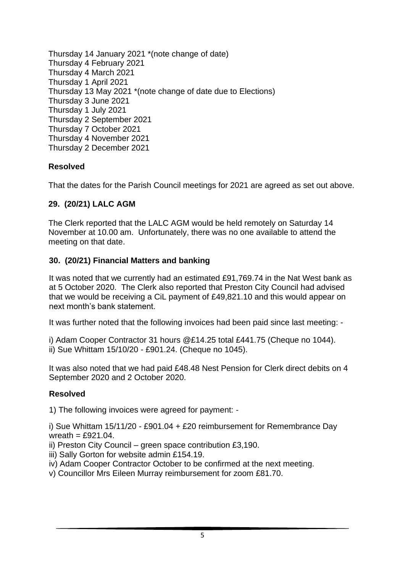Thursday 14 January 2021 \*(note change of date) Thursday 4 February 2021 Thursday 4 March 2021 Thursday 1 April 2021 Thursday 13 May 2021 \*(note change of date due to Elections) Thursday 3 June 2021 Thursday 1 July 2021 Thursday 2 September 2021 Thursday 7 October 2021 Thursday 4 November 2021 Thursday 2 December 2021

#### **Resolved**

That the dates for the Parish Council meetings for 2021 are agreed as set out above.

#### **29. (20/21) LALC AGM**

The Clerk reported that the LALC AGM would be held remotely on Saturday 14 November at 10.00 am. Unfortunately, there was no one available to attend the meeting on that date.

#### **30. (20/21) Financial Matters and banking**

It was noted that we currently had an estimated £91,769.74 in the Nat West bank as at 5 October 2020. The Clerk also reported that Preston City Council had advised that we would be receiving a CiL payment of £49,821.10 and this would appear on next month's bank statement.

It was further noted that the following invoices had been paid since last meeting: -

i) Adam Cooper Contractor 31 hours @£14.25 total £441.75 (Cheque no 1044). ii) Sue Whittam 15/10/20 - £901.24. (Cheque no 1045).

It was also noted that we had paid £48.48 Nest Pension for Clerk direct debits on 4 September 2020 and 2 October 2020.

#### **Resolved**

1) The following invoices were agreed for payment: -

i) Sue Whittam 15/11/20 - £901.04 + £20 reimbursement for Remembrance Day wreath =  $£921.04$ .

- ii) Preston City Council green space contribution £3,190.
- iii) Sally Gorton for website admin £154.19.
- iv) Adam Cooper Contractor October to be confirmed at the next meeting.
- v) Councillor Mrs Eileen Murray reimbursement for zoom £81.70.